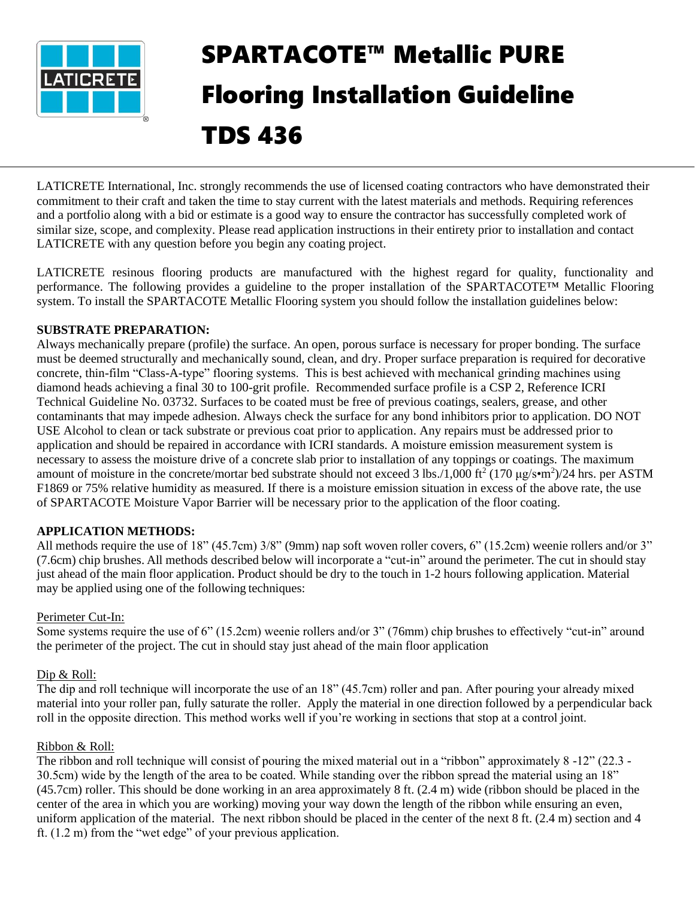

# SPARTACOTE™ Metallic PURE Flooring Installation Guideline TDS 436

LATICRETE International, Inc. strongly recommends the use of licensed coating contractors who have demonstrated their commitment to their craft and taken the time to stay current with the latest materials and methods. Requiring references and a portfolio along with a bid or estimate is a good way to ensure the contractor has successfully completed work of similar size, scope, and complexity. Please read application instructions in their entirety prior to installation and contact LATICRETE with any question before you begin any coating project.

LATICRETE resinous flooring products are manufactured with the highest regard for quality, functionality and performance. The following provides a guideline to the proper installation of the SPARTACOTE™ Metallic Flooring system. To install the SPARTACOTE Metallic Flooring system you should follow the installation guidelines below:

# **SUBSTRATE PREPARATION:**

Always mechanically prepare (profile) the surface. An open, porous surface is necessary for proper bonding. The surface must be deemed structurally and mechanically sound, clean, and dry. Proper surface preparation is required for decorative concrete, thin-film "Class-A-type" flooring systems. This is best achieved with mechanical grinding machines using diamond heads achieving a final 30 to 100-grit profile. Recommended surface profile is a CSP 2, Reference ICRI Technical Guideline No. 03732. Surfaces to be coated must be free of previous coatings, sealers, grease, and other contaminants that may impede adhesion. Always check the surface for any bond inhibitors prior to application. DO NOT USE Alcohol to clean or tack substrate or previous coat prior to application. Any repairs must be addressed prior to application and should be repaired in accordance with ICRI standards. A moisture emission measurement system is necessary to assess the moisture drive of a concrete slab prior to installation of any toppings or coatings. The maximum amount of moisture in the concrete/mortar bed substrate should not exceed 3 lbs./1,000 ft<sup>2</sup> (170  $\mu$ g/s•m<sup>2</sup>)/24 hrs. per ASTM F1869 or 75% relative humidity as measured. If there is a moisture emission situation in excess of the above rate, the use of SPARTACOTE Moisture Vapor Barrier will be necessary prior to the application of the floor coating.

# **APPLICATION METHODS:**

All methods require the use of 18" (45.7cm) 3/8" (9mm) nap soft woven roller covers, 6" (15.2cm) weenie rollers and/or 3" (7.6cm) chip brushes. All methods described below will incorporate a "cut-in" around the perimeter. The cut in should stay just ahead of the main floor application. Product should be dry to the touch in 1-2 hours following application. Material may be applied using one of the following techniques:

## Perimeter Cut-In:

Some systems require the use of 6" (15.2cm) weenie rollers and/or 3" (76mm) chip brushes to effectively "cut-in" around the perimeter of the project. The cut in should stay just ahead of the main floor application

## Dip & Roll:

The dip and roll technique will incorporate the use of an 18" (45.7cm) roller and pan. After pouring your already mixed material into your roller pan, fully saturate the roller. Apply the material in one direction followed by a perpendicular back roll in the opposite direction. This method works well if you're working in sections that stop at a control joint.

## Ribbon & Roll:

The ribbon and roll technique will consist of pouring the mixed material out in a "ribbon" approximately 8 -12" (22.3 - 30.5cm) wide by the length of the area to be coated. While standing over the ribbon spread the material using an 18" (45.7cm) roller. This should be done working in an area approximately 8 ft. (2.4 m) wide (ribbon should be placed in the center of the area in which you are working) moving your way down the length of the ribbon while ensuring an even, uniform application of the material. The next ribbon should be placed in the center of the next 8 ft. (2.4 m) section and 4 ft. (1.2 m) from the "wet edge" of your previous application.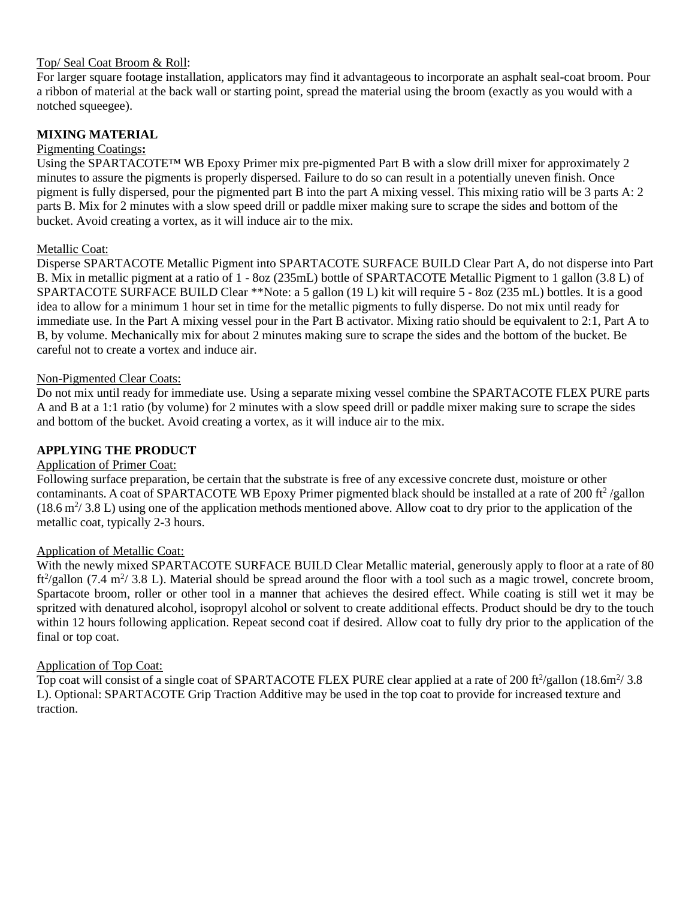# Top/ Seal Coat Broom & Roll:

For larger square footage installation, applicators may find it advantageous to incorporate an asphalt seal-coat broom. Pour a ribbon of material at the back wall or starting point, spread the material using the broom (exactly as you would with a notched squeegee).

# **MIXING MATERIAL**

# Pigmenting Coatings**:**

Using the SPARTACOTE™ WB Epoxy Primer mix pre-pigmented Part B with a slow drill mixer for approximately 2 minutes to assure the pigments is properly dispersed. Failure to do so can result in a potentially uneven finish. Once pigment is fully dispersed, pour the pigmented part B into the part A mixing vessel. This mixing ratio will be 3 parts A: 2 parts B. Mix for 2 minutes with a slow speed drill or paddle mixer making sure to scrape the sides and bottom of the bucket. Avoid creating a vortex, as it will induce air to the mix.

# Metallic Coat:

Disperse SPARTACOTE Metallic Pigment into SPARTACOTE SURFACE BUILD Clear Part A, do not disperse into Part B. Mix in metallic pigment at a ratio of 1 - 8oz (235mL) bottle of SPARTACOTE Metallic Pigment to 1 gallon (3.8 L) of SPARTACOTE SURFACE BUILD Clear \*\*Note: a 5 gallon (19 L) kit will require 5 - 8oz (235 mL) bottles. It is a good idea to allow for a minimum 1 hour set in time for the metallic pigments to fully disperse. Do not mix until ready for immediate use. In the Part A mixing vessel pour in the Part B activator. Mixing ratio should be equivalent to 2:1, Part A to B, by volume. Mechanically mix for about 2 minutes making sure to scrape the sides and the bottom of the bucket. Be careful not to create a vortex and induce air.

## Non-Pigmented Clear Coats:

Do not mix until ready for immediate use. Using a separate mixing vessel combine the SPARTACOTE FLEX PURE parts A and B at a 1:1 ratio (by volume) for 2 minutes with a slow speed drill or paddle mixer making sure to scrape the sides and bottom of the bucket. Avoid creating a vortex, as it will induce air to the mix.

# **APPLYING THE PRODUCT**

## Application of Primer Coat:

Following surface preparation, be certain that the substrate is free of any excessive concrete dust, moisture or other contaminants. A coat of SPARTACOTE WB Epoxy Primer pigmented black should be installed at a rate of 200 ft<sup>2</sup>/gallon  $(18.6 \text{ m}^2/ 3.8 \text{ L})$  using one of the application methods mentioned above. Allow coat to dry prior to the application of the metallic coat, typically 2-3 hours.

## Application of Metallic Coat:

With the newly mixed SPARTACOTE SURFACE BUILD Clear Metallic material, generously apply to floor at a rate of 80 ft<sup>2</sup>/gallon (7.4 m<sup>2</sup>/ 3.8 L). Material should be spread around the floor with a tool such as a magic trowel, concrete broom, Spartacote broom, roller or other tool in a manner that achieves the desired effect. While coating is still wet it may be spritzed with denatured alcohol, isopropyl alcohol or solvent to create additional effects. Product should be dry to the touch within 12 hours following application. Repeat second coat if desired. Allow coat to fully dry prior to the application of the final or top coat.

## Application of Top Coat:

Top coat will consist of a single coat of SPARTACOTE FLEX PURE clear applied at a rate of 200 ft $\frac{200 \text{ ft}^2}{\text{gallon}}$  (18.6m $\frac{2}{3}$ .8 L). Optional: SPARTACOTE Grip Traction Additive may be used in the top coat to provide for increased texture and traction.